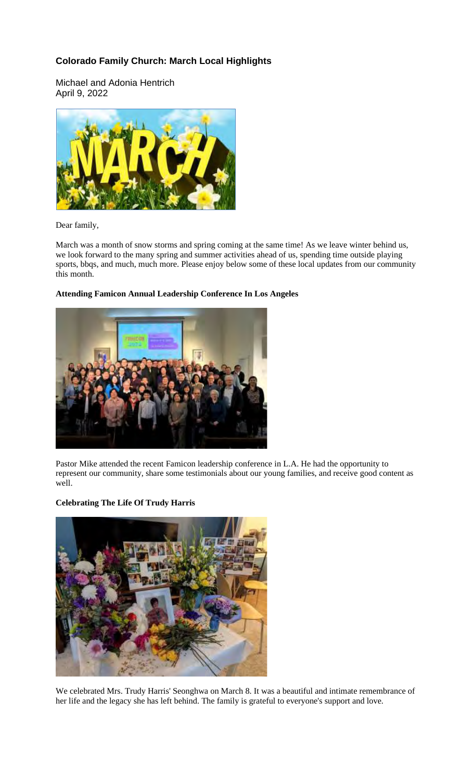# **Colorado Family Church: March Local Highlights**

Michael and Adonia Hentrich April 9, 2022



#### Dear family,

March was a month of snow storms and spring coming at the same time! As we leave winter behind us, we look forward to the many spring and summer activities ahead of us, spending time outside playing sports, bbqs, and much, much more. Please enjoy below some of these local updates from our community this month.

## **Attending Famicon Annual Leadership Conference In Los Angeles**



Pastor Mike attended the recent Famicon leadership conference in L.A. He had the opportunity to represent our community, share some testimonials about our young families, and receive good content as well.

## **Celebrating The Life Of Trudy Harris**



We celebrated Mrs. Trudy Harris' Seonghwa on March 8. It was a beautiful and intimate remembrance of her life and the legacy she has left behind. The family is grateful to everyone's support and love.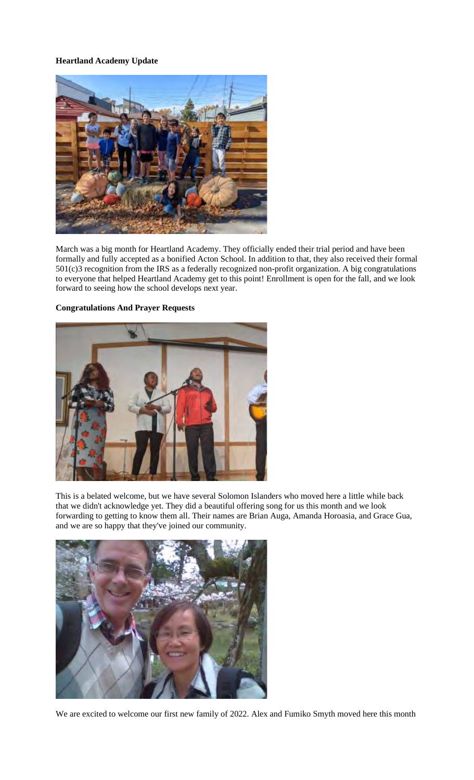## **Heartland Academy Update**



March was a big month for Heartland Academy. They officially ended their trial period and have been formally and fully accepted as a bonified Acton School. In addition to that, they also received their formal 501(c)3 recognition from the IRS as a federally recognized non-profit organization. A big congratulations to everyone that helped Heartland Academy get to this point! Enrollment is open for the fall, and we look forward to seeing how the school develops next year.

### **Congratulations And Prayer Requests**



This is a belated welcome, but we have several Solomon Islanders who moved here a little while back that we didn't acknowledge yet. They did a beautiful offering song for us this month and we look forwarding to getting to know them all. Their names are Brian Auga, Amanda Horoasia, and Grace Gua, and we are so happy that they've joined our community.



We are excited to welcome our first new family of 2022. Alex and Fumiko Smyth moved here this month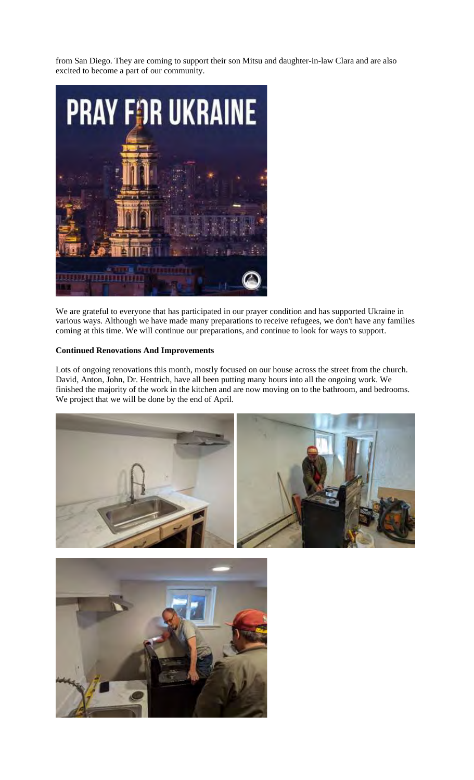from San Diego. They are coming to support their son Mitsu and daughter-in-law Clara and are also excited to become a part of our community.



We are grateful to everyone that has participated in our prayer condition and has supported Ukraine in various ways. Although we have made many preparations to receive refugees, we don't have any families coming at this time. We will continue our preparations, and continue to look for ways to support.

#### **Continued Renovations And Improvements**

Lots of ongoing renovations this month, mostly focused on our house across the street from the church. David, Anton, John, Dr. Hentrich, have all been putting many hours into all the ongoing work. We finished the majority of the work in the kitchen and are now moving on to the bathroom, and bedrooms. We project that we will be done by the end of April.